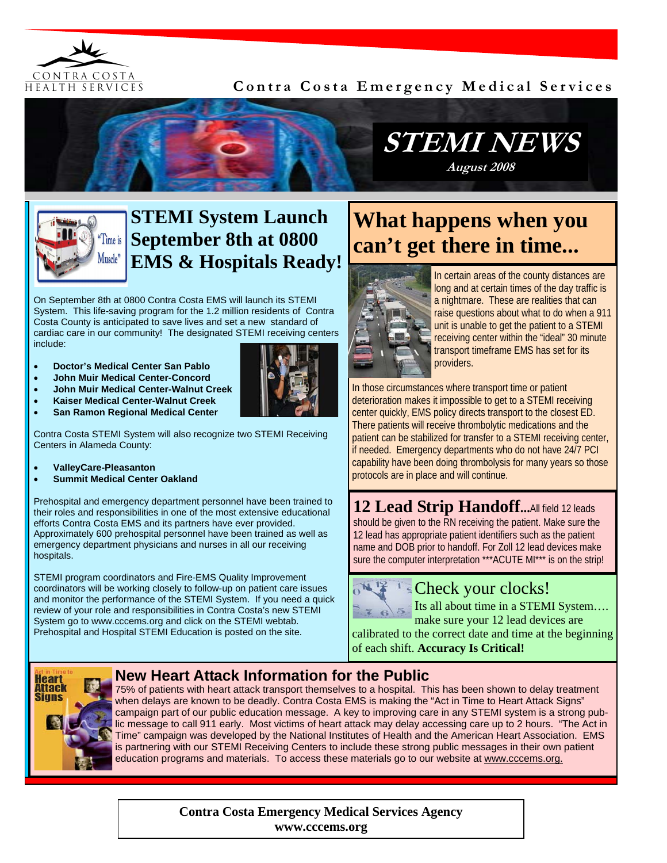

### **Contra Costa Emergency Medical Services**





# **STEMI System Launch September 8th at 0800 EMS & Hospitals Ready!**

On September 8th at 0800 Contra Costa EMS will launch its STEMI System. This life-saving program for the 1.2 million residents of Contra Costa County is anticipated to save lives and set a new standard of cardiac care in our community! The designated STEMI receiving centers include:

- **Doctor's Medical Center San Pablo**
- **John Muir Medical Center-Concord**
- **John Muir Medical Center-Walnut Creek**
- **Kaiser Medical Center-Walnut Creek**



Contra Costa STEMI System will also recognize two STEMI Receiving Centers in Alameda County:

- **ValleyCare-Pleasanton**
- **Summit Medical Center Oakland**

Prehospital and emergency department personnel have been trained to their roles and responsibilities in one of the most extensive educational efforts Contra Costa EMS and its partners have ever provided. Approximately 600 prehospital personnel have been trained as well as emergency department physicians and nurses in all our receiving hospitals.

STEMI program coordinators and Fire-EMS Quality Improvement coordinators will be working closely to follow-up on patient care issues and monitor the performance of the STEMI System. If you need a quick review of your role and responsibilities in Contra Costa's new STEMI System go to www.cccems.org and click on the STEMI webtab. Prehospital and Hospital STEMI Education is posted on the site.

# **What happens when you can't get there in time...**



In certain areas of the county distances are long and at certain times of the day traffic is a nightmare. These are realities that can raise questions about what to do when a 911 unit is unable to get the patient to a STEMI receiving center within the "ideal" 30 minute transport timeframe EMS has set for its providers.

In those circumstances where transport time or patient deterioration makes it impossible to get to a STEMI receiving center quickly, EMS policy directs transport to the closest ED. There patients will receive thrombolytic medications and the patient can be stabilized for transfer to a STEMI receiving center, if needed. Emergency departments who do not have 24/7 PCI capability have been doing thrombolysis for many years so those protocols are in place and will continue.

**12 Lead Strip Handoff...**All field 12 leads should be given to the RN receiving the patient. Make sure the 12 lead has appropriate patient identifiers such as the patient name and DOB prior to handoff. For Zoll 12 lead devices make sure the computer interpretation \*\*\* ACUTE MI\*\*\* is on the strip!



## Check your clocks!

Its all about time in a STEMI System…. make sure your 12 lead devices are

calibrated to the correct date and time at the beginning of each shift. **Accuracy Is Critical!**



#### **New Heart Attack Information for the Public**

75% of patients with heart attack transport themselves to a hospital. This has been shown to delay treatment when delays are known to be deadly. Contra Costa EMS is making the "Act in Time to Heart Attack Signs" campaign part of our public education message. A key to improving care in any STEMI system is a strong public message to call 911 early. Most victims of heart attack may delay accessing care up to 2 hours. "The Act in Time" campaign was developed by the National Institutes of Health and the American Heart Association. EMS is partnering with our STEMI Receiving Centers to include these strong public messages in their own patient education programs and materials. To access these materials go to our website at www.cccems.org.

> **Contra Costa Emergency Medical Services Agency www.cccems.org**